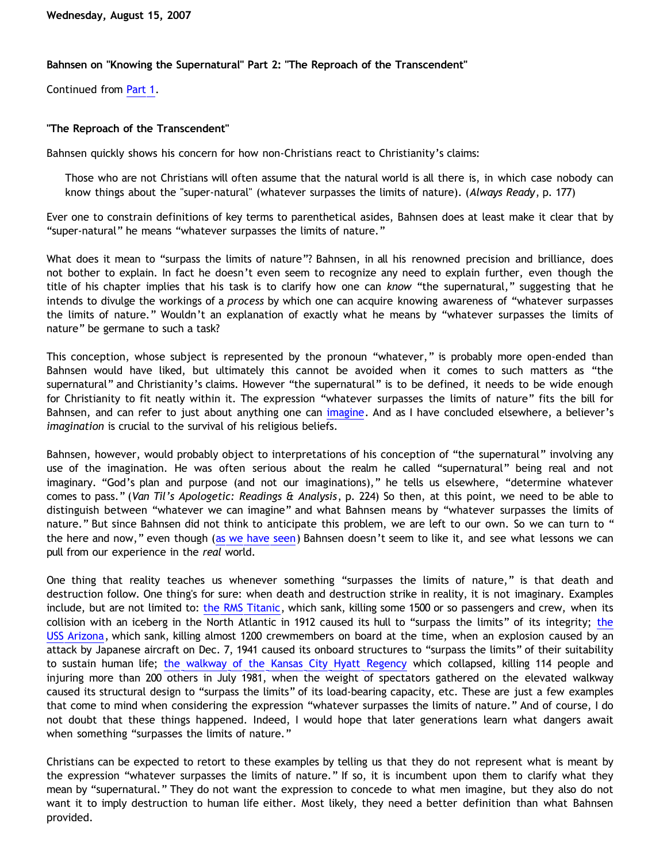# **Bahnsen on "Knowing the Supernatural" Part 2: "The Reproach of the Transcendent"**

Continued from [Part 1.](http://bahnsenburner.blogspot.com/2007/08/bahnsen-on-knowing-supernatural-part-1.html)

### **"The Reproach of the Transcendent"**

Bahnsen quickly shows his concern for how non-Christians react to Christianity's claims:

Those who are not Christians will often assume that the natural world is all there is, in which case nobody can know things about the "super-natural" (whatever surpasses the limits of nature). (*Always Ready*, p. 177)

Ever one to constrain definitions of key terms to parenthetical asides, Bahnsen does at least make it clear that by "super-natural" he means "whatever surpasses the limits of nature."

What does it mean to "surpass the limits of nature"? Bahnsen, in all his renowned precision and brilliance, does not bother to explain. In fact he doesn't even seem to recognize any need to explain further, even though the title of his chapter implies that his task is to clarify how one can *know* "the supernatural," suggesting that he intends to divulge the workings of a *process* by which one can acquire knowing awareness of "whatever surpasses the limits of nature." Wouldn't an explanation of exactly what he means by "whatever surpasses the limits of nature" be germane to such a task?

This conception, whose subject is represented by the pronoun "whatever," is probably more open-ended than Bahnsen would have liked, but ultimately this cannot be avoided when it comes to such matters as "the supernatural" and Christianity's claims. However "the supernatural" is to be defined, it needs to be wide enough for Christianity to fit neatly within it. The expression "whatever surpasses the limits of nature" fits the bill for Bahnsen, and can refer to just about anything one can [imagine](http://bahnsenburner.blogspot.com/2007/07/role-of-imagination-in-christian-god.html). And as I have concluded elsewhere, a believer's *imagination* is crucial to the survival of his religious beliefs.

Bahnsen, however, would probably object to interpretations of his conception of "the supernatural" involving any use of the imagination. He was often serious about the realm he called "supernatural" being real and not imaginary. "God's plan and purpose (and not our imaginations)," he tells us elsewhere, "determine whatever comes to pass." (*Van Til's Apologetic: Readings & Analysis*, p. 224) So then, at this point, we need to be able to distinguish between "whatever we can imagine" and what Bahnsen means by "whatever surpasses the limits of nature." But since Bahnsen did not think to anticipate this problem, we are left to our own. So we can turn to " the here and now," even though ([as we have seen](http://bahnsenburner.blogspot.com/2007/08/bahnsen-on-knowing-supernatural-part-1.html)) Bahnsen doesn't seem to like it, and see what lessons we can pull from our experience in the *real* world.

One thing that reality teaches us whenever something "surpasses the limits of nature," is that death and destruction follow. One thing's for sure: when death and destruction strike in reality, it is not imaginary. Examples include, but are not limited to: [the RMS Titanic](http://en.wikipedia.org/wiki/RMS_Titanic), which sank, killing some 1500 or so passengers and crew, when its collision with an iceberg in the North Atlantic in 1912 caused its hull to "surpass the limits" of its integrity; [the](http://en.wikipedia.org/wiki/USS_Arizona_%28BB-39%29) [USS Arizona](http://en.wikipedia.org/wiki/USS_Arizona_%28BB-39%29), which sank, killing almost 1200 crewmembers on board at the time, when an explosion caused by an attack by Japanese aircraft on Dec. 7, 1941 caused its onboard structures to "surpass the limits" of their suitability to sustain human life; [the walkway of the Kansas City Hyatt Regency](http://en.wikipedia.org/wiki/Hyatt_Regency_walkway_collapse) which collapsed, killing 114 people and injuring more than 200 others in July 1981, when the weight of spectators gathered on the elevated walkway caused its structural design to "surpass the limits" of its load-bearing capacity, etc. These are just a few examples that come to mind when considering the expression "whatever surpasses the limits of nature." And of course, I do not doubt that these things happened. Indeed, I would hope that later generations learn what dangers await when something "surpasses the limits of nature."

Christians can be expected to retort to these examples by telling us that they do not represent what is meant by the expression "whatever surpasses the limits of nature." If so, it is incumbent upon them to clarify what they mean by "supernatural." They do not want the expression to concede to what men imagine, but they also do not want it to imply destruction to human life either. Most likely, they need a better definition than what Bahnsen provided.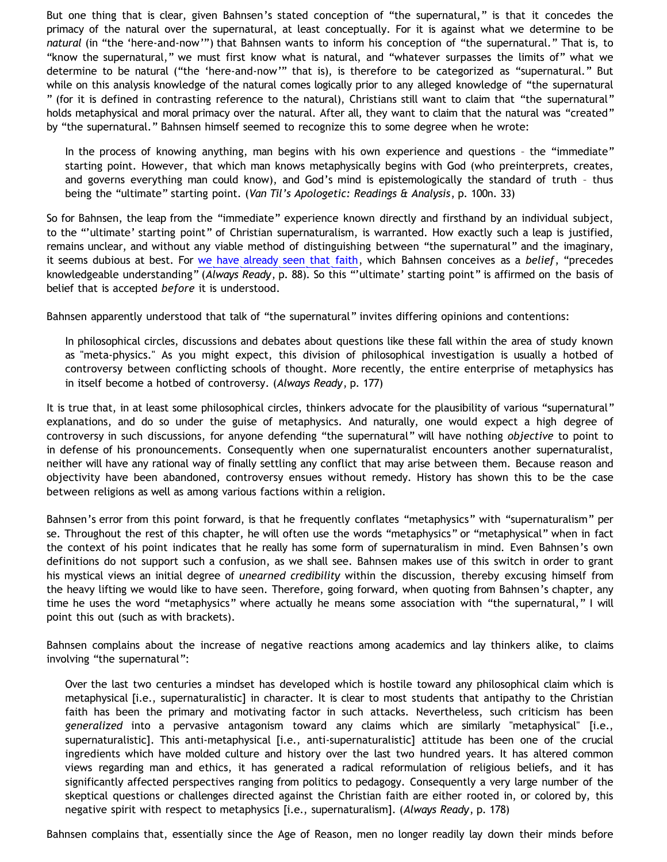But one thing that is clear, given Bahnsen's stated conception of "the supernatural," is that it concedes the primacy of the natural over the supernatural, at least conceptually. For it is against what we determine to be *natural* (in "the 'here-and-now'") that Bahnsen wants to inform his conception of "the supernatural." That is, to "know the supernatural," we must first know what is natural, and "whatever surpasses the limits of" what we determine to be natural ("the 'here-and-now'" that is), is therefore to be categorized as "supernatural." But while on this analysis knowledge of the natural comes logically prior to any alleged knowledge of "the supernatural " (for it is defined in contrasting reference to the natural), Christians still want to claim that "the supernatural" holds metaphysical and moral primacy over the natural. After all, they want to claim that the natural was "created" by "the supernatural." Bahnsen himself seemed to recognize this to some degree when he wrote:

In the process of knowing anything, man begins with his own experience and questions - the "immediate" starting point. However, that which man knows metaphysically begins with God (who preinterprets, creates, and governs everything man could know), and God's mind is epistemologically the standard of truth – thus being the "ultimate" starting point. (*Van Til's Apologetic: Readings & Analysis*, p. 100n. 33)

So for Bahnsen, the leap from the "immediate" experience known directly and firsthand by an individual subject, to the "'ultimate' starting point" of Christian supernaturalism, is warranted. How exactly such a leap is justified, remains unclear, and without any viable method of distinguishing between "the supernatural" and the imaginary, it seems dubious at best. For [we have already seen that faith](http://bahnsenburner.blogspot.com/2007/01/faith-as-belief-without-understanding.html), which Bahnsen conceives as a *belief*, "precedes knowledgeable understanding" (*Always Ready*, p. 88). So this "'ultimate' starting point" is affirmed on the basis of belief that is accepted *before* it is understood.

Bahnsen apparently understood that talk of "the supernatural" invites differing opinions and contentions:

In philosophical circles, discussions and debates about questions like these fall within the area of study known as "meta-physics." As you might expect, this division of philosophical investigation is usually a hotbed of controversy between conflicting schools of thought. More recently, the entire enterprise of metaphysics has in itself become a hotbed of controversy. (*Always Ready*, p. 177)

It is true that, in at least some philosophical circles, thinkers advocate for the plausibility of various "supernatural" explanations, and do so under the guise of metaphysics. And naturally, one would expect a high degree of controversy in such discussions, for anyone defending "the supernatural" will have nothing *objective* to point to in defense of his pronouncements. Consequently when one supernaturalist encounters another supernaturalist, neither will have any rational way of finally settling any conflict that may arise between them. Because reason and objectivity have been abandoned, controversy ensues without remedy. History has shown this to be the case between religions as well as among various factions within a religion.

Bahnsen's error from this point forward, is that he frequently conflates "metaphysics" with "supernaturalism" per se. Throughout the rest of this chapter, he will often use the words "metaphysics" or "metaphysical" when in fact the context of his point indicates that he really has some form of supernaturalism in mind. Even Bahnsen's own definitions do not support such a confusion, as we shall see. Bahnsen makes use of this switch in order to grant his mystical views an initial degree of *unearned credibility* within the discussion, thereby excusing himself from the heavy lifting we would like to have seen. Therefore, going forward, when quoting from Bahnsen's chapter, any time he uses the word "metaphysics" where actually he means some association with "the supernatural," I will point this out (such as with brackets).

Bahnsen complains about the increase of negative reactions among academics and lay thinkers alike, to claims involving "the supernatural":

Over the last two centuries a mindset has developed which is hostile toward any philosophical claim which is metaphysical [i.e., supernaturalistic] in character. It is clear to most students that antipathy to the Christian faith has been the primary and motivating factor in such attacks. Nevertheless, such criticism has been *generalized* into a pervasive antagonism toward any claims which are similarly "metaphysical" [i.e., supernaturalistic]. This anti-metaphysical [i.e., anti-supernaturalistic] attitude has been one of the crucial ingredients which have molded culture and history over the last two hundred years. It has altered common views regarding man and ethics, it has generated a radical reformulation of religious beliefs, and it has significantly affected perspectives ranging from politics to pedagogy. Consequently a very large number of the skeptical questions or challenges directed against the Christian faith are either rooted in, or colored by, this negative spirit with respect to metaphysics [i.e., supernaturalism]. (*Always Ready*, p. 178)

Bahnsen complains that, essentially since the Age of Reason, men no longer readily lay down their minds before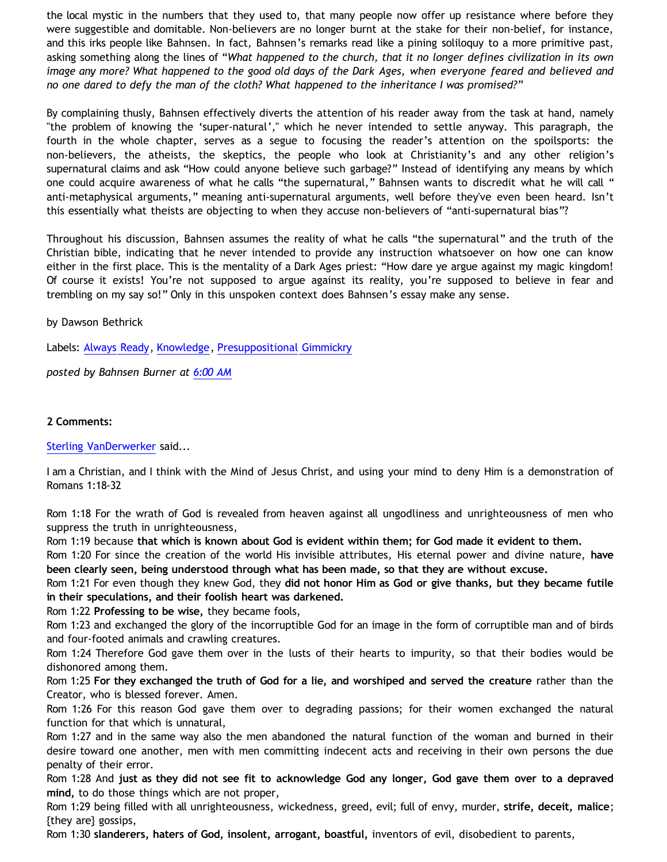the local mystic in the numbers that they used to, that many people now offer up resistance where before they were suggestible and domitable. Non-believers are no longer burnt at the stake for their non-belief, for instance, and this irks people like Bahnsen. In fact, Bahnsen's remarks read like a pining soliloquy to a more primitive past, asking something along the lines of "*What happened to the church, that it no longer defines civilization in its own image any more? What happened to the good old days of the Dark Ages, when everyone feared and believed and no one dared to defy the man of the cloth? What happened to the inheritance I was promised?*"

By complaining thusly, Bahnsen effectively diverts the attention of his reader away from the task at hand, namely "the problem of knowing the 'super-natural'," which he never intended to settle anyway. This paragraph, the fourth in the whole chapter, serves as a segue to focusing the reader's attention on the spoilsports: the non-believers, the atheists, the skeptics, the people who look at Christianity's and any other religion's supernatural claims and ask "How could anyone believe such garbage?" Instead of identifying any means by which one could acquire awareness of what he calls "the supernatural," Bahnsen wants to discredit what he will call " anti-metaphysical arguments," meaning anti-supernatural arguments, well before they've even been heard. Isn't this essentially what theists are objecting to when they accuse non-believers of "anti-supernatural bias"?

Throughout his discussion, Bahnsen assumes the reality of what he calls "the supernatural" and the truth of the Christian bible, indicating that he never intended to provide any instruction whatsoever on how one can know either in the first place. This is the mentality of a Dark Ages priest: "How dare ye argue against my magic kingdom! Of course it exists! You're not supposed to argue against its reality, you're supposed to believe in fear and trembling on my say so!" Only in this unspoken context does Bahnsen's essay make any sense.

## by Dawson Bethrick

Labels: [Always Ready,](http://bahnsenburner.blogspot.com/search/label/Always%20Ready) [Knowledge](http://bahnsenburner.blogspot.com/search/label/Knowledge), [Presuppositional Gimmickry](http://bahnsenburner.blogspot.com/search/label/Presuppositional%20Gimmickry)

*posted by Bahnsen Burner at [6:00 AM](http://bahnsenburner.blogspot.com/2007/08/bahnsen-on-knowing-supernatural-part-2.html)*

### **2 Comments:**

### [Sterling VanDerwerker](http://www.blogger.com/profile/15081485310209968950) said...

I am a Christian, and I think with the Mind of Jesus Christ, and using your mind to deny Him is a demonstration of Romans 1:18-32

Rom 1:18 For the wrath of God is revealed from heaven against all ungodliness and unrighteousness of men who suppress the truth in unrighteousness,

Rom 1:19 because **that which is known about God is evident within them; for God made it evident to them.**

Rom 1:20 For since the creation of the world His invisible attributes, His eternal power and divine nature, **have been clearly seen, being understood through what has been made, so that they are without excuse.**

Rom 1:21 For even though they knew God, they **did not honor Him as God or give thanks, but they became futile in their speculations, and their foolish heart was darkened.**

Rom 1:22 **Professing to be wise,** they became fools,

Rom 1:23 and exchanged the glory of the incorruptible God for an image in the form of corruptible man and of birds and four-footed animals and crawling creatures.

Rom 1:24 Therefore God gave them over in the lusts of their hearts to impurity, so that their bodies would be dishonored among them.

Rom 1:25 **For they exchanged the truth of God for a lie, and worshiped and served the creature** rather than the Creator, who is blessed forever. Amen.

Rom 1:26 For this reason God gave them over to degrading passions; for their women exchanged the natural function for that which is unnatural,

Rom 1:27 and in the same way also the men abandoned the natural function of the woman and burned in their desire toward one another, men with men committing indecent acts and receiving in their own persons the due penalty of their error.

Rom 1:28 And **just as they did not see fit to acknowledge God any longer, God gave them over to a depraved mind,** to do those things which are not proper,

Rom 1:29 being filled with all unrighteousness, wickedness, greed, evil; full of envy, murder, **strife, deceit, malice**; {they are} gossips,

Rom 1:30 **slanderers, haters of God, insolent, arrogant, boastful,** inventors of evil, disobedient to parents,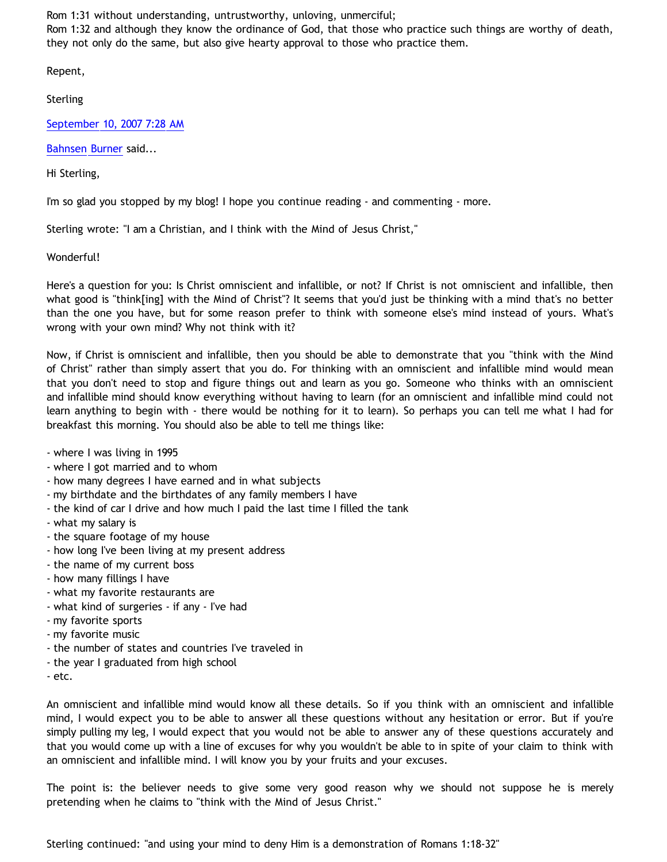Rom 1:31 without understanding, untrustworthy, unloving, unmerciful;

Rom 1:32 and although they know the ordinance of God, that those who practice such things are worthy of death, they not only do the same, but also give hearty approval to those who practice them.

Repent,

**Sterling** 

[September 10, 2007 7:28 AM](http://bahnsenburner.blogspot.com/2007/08/3491967745169573097)

[Bahnsen Burner](http://www.blogger.com/profile/11030029491768748360) said...

Hi Sterling,

I'm so glad you stopped by my blog! I hope you continue reading - and commenting - more.

Sterling wrote: "I am a Christian, and I think with the Mind of Jesus Christ,"

Wonderful!

Here's a question for you: Is Christ omniscient and infallible, or not? If Christ is not omniscient and infallible, then what good is "think[ing] with the Mind of Christ"? It seems that you'd just be thinking with a mind that's no better than the one you have, but for some reason prefer to think with someone else's mind instead of yours. What's wrong with your own mind? Why not think with it?

Now, if Christ is omniscient and infallible, then you should be able to demonstrate that you "think with the Mind of Christ" rather than simply assert that you do. For thinking with an omniscient and infallible mind would mean that you don't need to stop and figure things out and learn as you go. Someone who thinks with an omniscient and infallible mind should know everything without having to learn (for an omniscient and infallible mind could not learn anything to begin with - there would be nothing for it to learn). So perhaps you can tell me what I had for breakfast this morning. You should also be able to tell me things like:

- where I was living in 1995
- where I got married and to whom
- how many degrees I have earned and in what subjects
- my birthdate and the birthdates of any family members I have
- the kind of car I drive and how much I paid the last time I filled the tank
- what my salary is
- the square footage of my house
- how long I've been living at my present address
- the name of my current boss
- how many fillings I have
- what my favorite restaurants are
- what kind of surgeries if any I've had
- my favorite sports
- my favorite music
- the number of states and countries I've traveled in
- the year I graduated from high school
- etc.

An omniscient and infallible mind would know all these details. So if you think with an omniscient and infallible mind, I would expect you to be able to answer all these questions without any hesitation or error. But if you're simply pulling my leg, I would expect that you would not be able to answer any of these questions accurately and that you would come up with a line of excuses for why you wouldn't be able to in spite of your claim to think with an omniscient and infallible mind. I will know you by your fruits and your excuses.

The point is: the believer needs to give some very good reason why we should not suppose he is merely pretending when he claims to "think with the Mind of Jesus Christ."

Sterling continued: "and using your mind to deny Him is a demonstration of Romans 1:18-32"